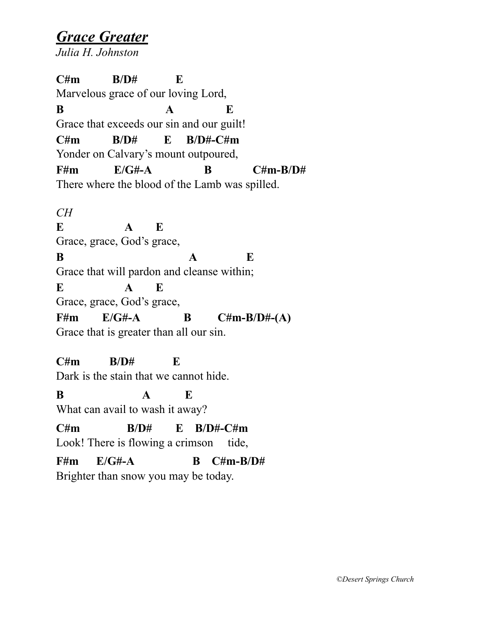*Grace Greater Julia H. Johnston* 

**C#m B/D# E**  Marvelous grace of our loving Lord, **B A E** Grace that exceeds our sin and our guilt! **C#m B/D# E B/D#-C#m**  Yonder on Calvary's mount outpoured, **F#m E/G#-A B C#m-B/D#**  There where the blood of the Lamb was spilled. *CH*  **E A E** Grace, grace, God's grace, **B A E** Grace that will pardon and cleanse within; **E A E** Grace, grace, God's grace, **F#m E/G#-A B C#m-B/D#-(A)**  Grace that is greater than all our sin. **C#m B/D# E**  Dark is the stain that we cannot hide. **B A E** What can avail to wash it away? **C#m B/D# E B/D#-C#m**  Look! There is flowing a crimson tide,

**F#m E/G#-A B C#m-B/D#** 

Brighter than snow you may be today.